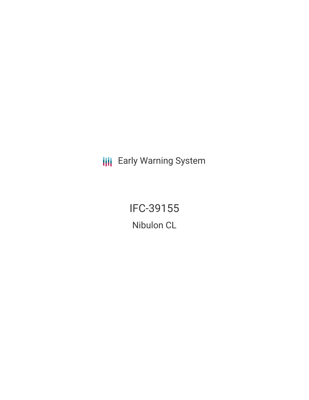**III** Early Warning System

IFC-39155 Nibulon CL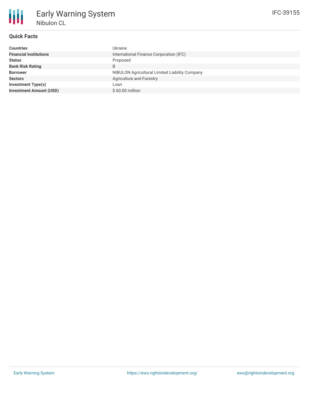

## **Quick Facts**

| <b>Countries</b>               | Ukraine                                        |
|--------------------------------|------------------------------------------------|
| <b>Financial Institutions</b>  | International Finance Corporation (IFC)        |
| <b>Status</b>                  | Proposed                                       |
| <b>Bank Risk Rating</b>        | B                                              |
| <b>Borrower</b>                | NIBULON Agricultural Limited Liability Company |
| <b>Sectors</b>                 | Agriculture and Forestry                       |
| <b>Investment Type(s)</b>      | Loan                                           |
| <b>Investment Amount (USD)</b> | $$60.00$ million                               |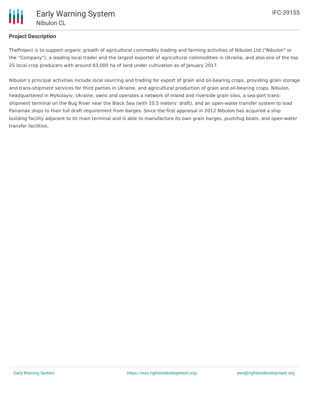## **Project Description**

TheProject is to support organic growth of agricultural commodity trading and farming activities of Nibulon Ltd ("Nibulon" or the "Company"), a leading local trader and the largest exporter of agricultural commodities in Ukraine, and also one of the top 25 local crop producers with around 83,000 ha of land under cultivation as of January 2017.

Nibulon's principal activities include local sourcing and trading for export of grain and oil-bearing crops, providing grain storage and trans-shipment services for third parties in Ukraine, and agricultural production of grain and oil-bearing crops. Nibulon, headquartered in Mykolayiv, Ukraine, owns and operates a network of inland and riverside grain silos, a sea-port transshipment terminal on the Bug River near the Black Sea (with 10.5 meters' draft), and an open-water transfer system to load Panamax ships to their full draft requirement from barges. Since the first appraisal in 2012 Nibulon has acquired a ship building facility adjacent to its main terminal and is able to manufacture its own grain barges, push/tug boats, and open-water transfer facilities.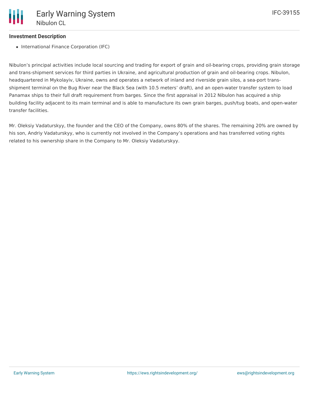## **Investment Description**

• International Finance Corporation (IFC)

Nibulon's principal activities include local sourcing and trading for export of grain and oil-bearing crops, providing grain storage and trans-shipment services for third parties in Ukraine, and agricultural production of grain and oil-bearing crops. Nibulon, headquartered in Mykolayiv, Ukraine, owns and operates a network of inland and riverside grain silos, a sea-port transshipment terminal on the Bug River near the Black Sea (with 10.5 meters' draft), and an open-water transfer system to load Panamax ships to their full draft requirement from barges. Since the first appraisal in 2012 Nibulon has acquired a ship building facility adjacent to its main terminal and is able to manufacture its own grain barges, push/tug boats, and open-water transfer facilities.

Mr. Oleksiy Vadaturskyy, the founder and the CEO of the Company, owns 80% of the shares. The remaining 20% are owned by his son, Andriy Vadaturskyy, who is currently not involved in the Company's operations and has transferred voting rights related to his ownership share in the Company to Mr. Oleksiy Vadaturskyy.